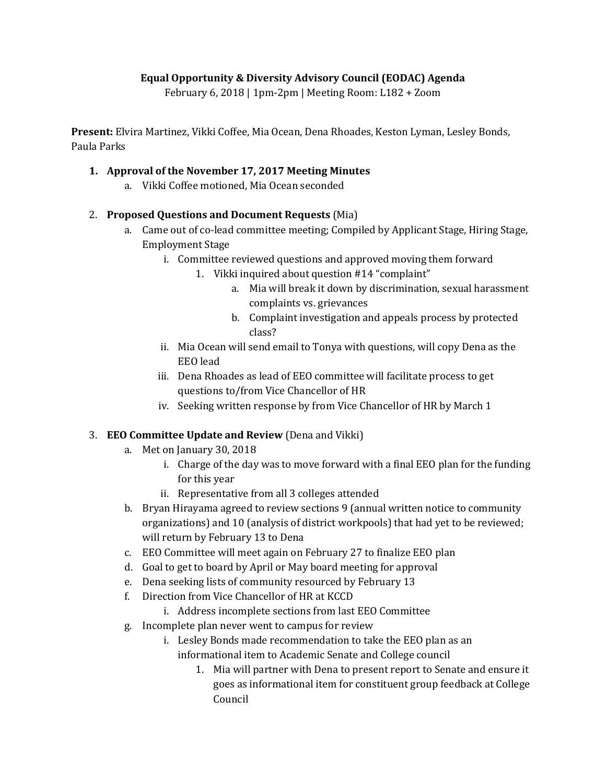### **Equal Opportunity & Diversity Advisory Council (EODAC) Agenda**

February 6, 2018 | 1pm-2pm | Meeting Room: L182 + Zoom

**Present:** Elvira Martinez, Vikki Coffee, Mia Ocean, Dena Rhoades, Keston Lyman, Lesley Bonds, Paula Parks

#### **1. Approval of the November 17, 2017 Meeting Minutes**

a. Vikki Coffee motioned, Mia Ocean seconded

# 2. **Proposed Questions and Document Requests** (Mia)

- a. Came out of co-lead committee meeting; Compiled by Applicant Stage, Hiring Stage, Employment Stage
	- i. Committee reviewed questions and approved moving them forward
		- 1. Vikki inquired about question #14 "complaint"
			- a. Mia will break it down by discrimination, sexual harassment complaints vs. grievances
			- b. Complaint investigation and appeals process by protected class?
	- ii. Mia Ocean will send email to Tonya with questions, will copy Dena as the EEO lead
	- iii. Dena Rhoades as lead of EEO committee will facilitate process to get questions to/from Vice Chancellor of HR
	- iv. Seeking written response by from Vice Chancellor of HR by March 1

### 3. **EEO Committee Update and Review** (Dena and Vikki)

- a. Met on January 30, 2018
	- i. Charge of the day was to move forward with a final EEO plan for the funding for this year
	- ii. Representative from all 3 colleges attended
- b. Bryan Hirayama agreed to review sections 9 (annual written notice to community organizations) and 10 (analysis of district workpools) that had yet to be reviewed; will return by February 13 to Dena
- c. EEO Committee will meet again on February 27 to finalize EEO plan
- d. Goal to get to board by April or May board meeting for approval
- e. Dena seeking lists of community resourced by February 13
- f. Direction from Vice Chancellor of HR at KCCD
	- i. Address incomplete sections from last EEO Committee
- g. Incomplete plan never went to campus for review
	- i. Lesley Bonds made recommendation to take the EEO plan as an informational item to Academic Senate and College council
		- goes as informational item for constituent group feedback at College 1. Mia will partner with Dena to present report to Senate and ensure it Council